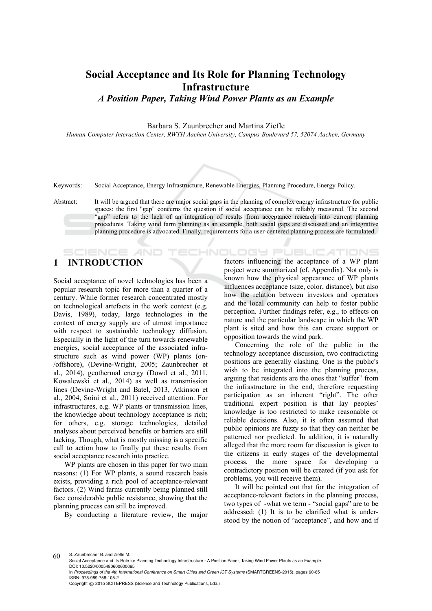## **Social Acceptance and Its Role for Planning Technology Infrastructure**

*A Position Paper, Taking Wind Power Plants as an Example* 

Barbara S. Zaunbrecher and Martina Ziefle

*Human-Computer Interaction Center, RWTH Aachen University, Campus-Boulevard 57, 52074 Aachen, Germany* 

Keywords: Social Acceptance, Energy Infrastructure, Renewable Energies, Planning Procedure, Energy Policy.

Abstract: It will be argued that there are major social gaps in the planning of complex energy infrastructure for public spaces: the first "gap" concerns the question if social acceptance can be reliably measured. The second "gap" refers to the lack of an integration of results from acceptance research into current planning procedures. Taking wind farm planning as an example, both social gaps are discussed and an integrative planning procedure is advocated. Finally, requirements for a user-centered planning process are formulated.

## **1 INTRODUCTION**

**SCIENCE AND** 

Social acceptance of novel technologies has been a popular research topic for more than a quarter of a century. While former research concentrated mostly on technological artefacts in the work context (e.g. Davis, 1989), today, large technologies in the context of energy supply are of utmost importance with respect to sustainable technology diffusion. Especially in the light of the turn towards renewable energies, social acceptance of the associated infrastructure such as wind power (WP) plants (on- /offshore), (Devine-Wright, 2005; Zaunbrecher et al., 2014), geothermal energy (Dowd et al., 2011, Kowalewski et al., 2014) as well as transmission lines (Devine-Wright and Batel, 2013, Atkinson et al., 2004, Soini et al., 2011) received attention. For infrastructures, e.g. WP plants or transmission lines, the knowledge about technology acceptance is rich; for others, e.g. storage technologies, detailed analyses about perceived benefits or barriers are still lacking. Though, what is mostly missing is a specific call to action how to finally put these results from social acceptance research into practice.

WP plants are chosen in this paper for two main reasons: (1) For WP plants, a sound research basis exists, providing a rich pool of acceptance-relevant factors. (2) Wind farms currently being planned still face considerable public resistance, showing that the planning process can still be improved.

By conducting a literature review, the major

'ECHNOLOGY PUBLIC*A*TIONS factors influencing the acceptance of a WP plant project were summarized (cf. Appendix). Not only is known how the physical appearance of WP plants influences acceptance (size, color, distance), but also how the relation between investors and operators and the local community can help to foster public perception. Further findings refer, e.g., to effects on nature and the particular landscape in which the WP plant is sited and how this can create support or opposition towards the wind park.

Concerning the role of the public in the technology acceptance discussion, two contradicting positions are generally clashing. One is the public's wish to be integrated into the planning process, arguing that residents are the ones that "suffer" from the infrastructure in the end, therefore requesting participation as an inherent "right". The other traditional expert position is that lay peoples' knowledge is too restricted to make reasonable or reliable decisions. Also, it is often assumed that public opinions are fuzzy so that they can neither be patterned nor predicted. In addition, it is naturally alleged that the more room for discussion is given to the citizens in early stages of the developmental process, the more space for developing a contradictory position will be created (if you ask for problems, you will receive them).

It will be pointed out that for the integration of acceptance-relevant factors in the planning process, two types of -what we term - "social gaps" are to be addressed: (1) It is to be clarified what is understood by the notion of "acceptance", and how and if

<sup>60</sup> S. Zaunbrecher B. and Ziefle M.. Social Acceptance and Its Role for Planning Technology Infrastructure - A Position Paper, Taking Wind Power Plants as an Example. DOI: 10.5220/0005480600600065

In *Proceedings of the 4th International Conference on Smart Cities and Green ICT Systems* (SMARTGREENS-2015), pages 60-65 ISBN: 978-989-758-105-2 Copyright © 2015 SCITEPRESS (Science and Technology Publications, Lda.)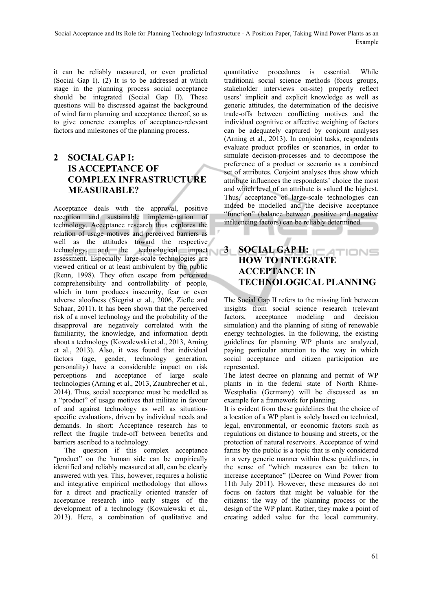it can be reliably measured, or even predicted (Social Gap I). (2) It is to be addressed at which stage in the planning process social acceptance should be integrated (Social Gap II). These questions will be discussed against the background of wind farm planning and acceptance thereof, so as to give concrete examples of acceptance-relevant factors and milestones of the planning process.

## **2 SOCIAL GAP I: IS ACCEPTANCE OF COMPLEX INFRASTRUCTURE MEASURABLE?**

Acceptance deals with the approval, positive reception and sustainable implementation of technology. Acceptance research thus explores the relation of usage motives and perceived barriers as well as the attitudes toward the respective technology, and the technological impact **3 SOCIAL GAP II:**  assessment. Especially large-scale technologies are viewed critical or at least ambivalent by the public (Renn, 1998). They often escape from perceived comprehensibility and controllability of people, which in turn produces insecurity, fear or even adverse aloofness (Siegrist et al., 2006, Ziefle and Schaar, 2011). It has been shown that the perceived risk of a novel technology and the probability of the disapproval are negatively correlated with the familiarity, the knowledge, and information depth about a technology (Kowalewski et al., 2013, Arning et al., 2013). Also, it was found that individual factors (age, gender, technology generation, personality) have a considerable impact on risk perceptions and acceptance of large scale technologies (Arning et al., 2013, Zaunbrecher et al., 2014). Thus, social acceptance must be modelled as a "product" of usage motives that militate in favour of and against technology as well as situationspecific evaluations, driven by individual needs and demands. In short: Acceptance research has to reflect the fragile trade-off between benefits and barriers ascribed to a technology.

The question if this complex acceptance "product" on the human side can be empirically identified and reliably measured at all, can be clearly answered with yes. This, however, requires a holistic and integrative empirical methodology that allows for a direct and practically oriented transfer of acceptance research into early stages of the development of a technology (Kowalewski et al., 2013). Here, a combination of qualitative and

quantitative procedures is essential. While traditional social science methods (focus groups, stakeholder interviews on-site) properly reflect users' implicit and explicit knowledge as well as generic attitudes, the determination of the decisive trade-offs between conflicting motives and the individual cognitive or affective weighing of factors can be adequately captured by conjoint analyses (Arning et al., 2013). In conjoint tasks, respondents evaluate product profiles or scenarios, in order to simulate decision-processes and to decompose the preference of a product or scenario as a combined set of attributes. Conjoint analyses thus show which attribute influences the respondents' choice the most and which level of an attribute is valued the highest. Thus, acceptance of large-scale technologies can indeed be modelled and the decisive acceptance "function" (balance between positive and negative influencing factors) can be reliably determined.

# **HOW TO INTEGRATE ACCEPTANCE IN TECHNOLOGICAL PLANNING**

**Contractor** 

The Social Gap II refers to the missing link between insights from social science research (relevant factors, acceptance modeling and decision simulation) and the planning of siting of renewable energy technologies. In the following, the existing guidelines for planning WP plants are analyzed, paying particular attention to the way in which social acceptance and citizen participation are represented.

The latest decree on planning and permit of WP plants in in the federal state of North Rhine-Westphalia (Germany) will be discussed as an example for a framework for planning.

It is evident from these guidelines that the choice of a location of a WP plant is solely based on technical, legal, environmental, or economic factors such as regulations on distance to housing and streets, or the protection of natural reservoirs. Acceptance of wind farms by the public is a topic that is only considered in a very generic manner within these guidelines, in the sense of "which measures can be taken to increase acceptance" (Decree on Wind Power from 11th July 2011). However, these measures do not focus on factors that might be valuable for the citizens: the way of the planning process or the design of the WP plant. Rather, they make a point of creating added value for the local community.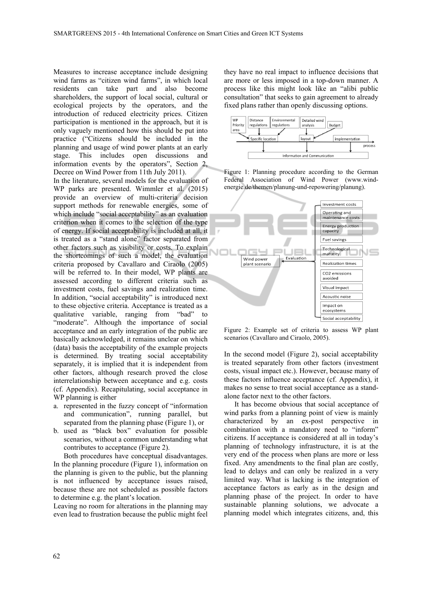Measures to increase acceptance include designing wind farms as "citizen wind farms", in which local residents can take part and also become shareholders, the support of local social, cultural or ecological projects by the operators, and the introduction of reduced electricity prices. Citizen participation is mentioned in the approach, but it is only vaguely mentioned how this should be put into practice ("Citizens should be included in the planning and usage of wind power plants at an early stage. This includes open discussions and information events by the operators", Section 2, Decree on Wind Power from 11th July 2011).

In the literature, several models for the evaluation of WP parks are presented. Wimmler et al. (2015) provide an overview of multi-criteria decision support methods for renewable energies, some of which include "social acceptability" as an evaluation criterion when it comes to the selection of the type of energy. If social acceptability is included at all, it is treated as a "stand alone" factor separated from other factors such as visibility or costs. To explain the shortcomings of such a model, the evaluation criteria proposed by Cavallaro and Ciraolo (2005) will be referred to. In their model, WP plants are assessed according to different criteria such as investment costs, fuel savings and realization time. In addition, "social acceptability" is introduced next to these objective criteria. Acceptance is treated as a qualitative variable, ranging from "bad" to "moderate". Although the importance of social acceptance and an early integration of the public are basically acknowledged, it remains unclear on which (data) basis the acceptability of the example projects is determined. By treating social acceptability separately, it is implied that it is independent from other factors, although research proved the close interrelationship between acceptance and e.g. costs (cf. Appendix). Recapitulating, social acceptance in WP planning is either

- a. represented in the fuzzy concept of "information and communication", running parallel, but separated from the planning phase (Figure 1), or
- b. used as "black box" evaluation for possible scenarios, without a common understanding what contributes to acceptance (Figure 2).

Both procedures have conceptual disadvantages. In the planning procedure (Figure 1), information on the planning is given to the public, but the planning is not influenced by acceptance issues raised, because these are not scheduled as possible factors to determine e.g. the plant's location.

Leaving no room for alterations in the planning may even lead to frustration because the public might feel

they have no real impact to influence decisions that are more or less imposed in a top-down manner. A process like this might look like an "alibi public consultation" that seeks to gain agreement to already fixed plans rather than openly discussing options.



Figure 1: Planning procedure according to the German Federal Association of Wind Power (www.windenergie.de/themen/planung-und-repowering/planung).



Figure 2: Example set of criteria to assess WP plant scenarios (Cavallaro and Ciraolo, 2005).

In the second model (Figure 2), social acceptability is treated separately from other factors (investment costs, visual impact etc.). However, because many of these factors influence acceptance (cf. Appendix), it makes no sense to treat social acceptance as a standalone factor next to the other factors.

It has become obvious that social acceptance of wind parks from a planning point of view is mainly characterized by an ex-post perspective in combination with a mandatory need to "inform" citizens. If acceptance is considered at all in today's planning of technology infrastructure, it is at the very end of the process when plans are more or less fixed. Any amendments to the final plan are costly, lead to delays and can only be realized in a very limited way. What is lacking is the integration of acceptance factors as early as in the design and planning phase of the project. In order to have sustainable planning solutions, we advocate a planning model which integrates citizens, and, this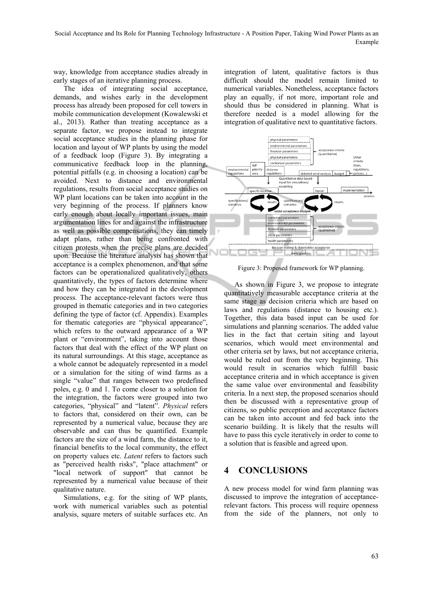way, knowledge from acceptance studies already in early stages of an iterative planning process.

The idea of integrating social acceptance, demands, and wishes early in the development process has already been proposed for cell towers in mobile communication development (Kowalewski et al., 2013). Rather than treating acceptance as a separate factor, we propose instead to integrate social acceptance studies in the planning phase for location and layout of WP plants by using the model of a feedback loop (Figure 3). By integrating a communicative feedback loop in the planning, potential pitfalls (e.g. in choosing a location) can be avoided. Next to distance and environmental regulations, results from social acceptance studies on WP plant locations can be taken into account in the very beginning of the process. If planners know early enough about locally important issues, main argumentation lines for and against the infrastructure as well as possible compensations, they can timely adapt plans, rather than being confronted with citizen protests when the precise plans are decided upon. Because the literature analysis has shown that acceptance is a complex phenomenon, and that some factors can be operationalized qualitatively, others quantitatively, the types of factors determine where and how they can be integrated in the development process. The acceptance-relevant factors were thus grouped in thematic categories and in two categories defining the type of factor (cf. Appendix). Examples for thematic categories are "physical appearance", which refers to the outward appearance of a WP plant or "environment", taking into account those factors that deal with the effect of the WP plant on its natural surroundings. At this stage, acceptance as a whole cannot be adequately represented in a model or a simulation for the siting of wind farms as a single "value" that ranges between two predefined poles, e.g. 0 and 1. To come closer to a solution for the integration, the factors were grouped into two categories, "physical" and "latent". *Physical* refers to factors that, considered on their own, can be represented by a numerical value, because they are observable and can thus be quantified. Example factors are the size of a wind farm, the distance to it, financial benefits to the local community, the effect on property values etc. *Latent* refers to factors such as "perceived health risks", "place attachment" or "local network of support" that cannot be represented by a numerical value because of their qualitative nature.

Simulations, e.g. for the siting of WP plants, work with numerical variables such as potential analysis, square meters of suitable surfaces etc. An

integration of latent, qualitative factors is thus difficult should the model remain limited to numerical variables. Nonetheless, acceptance factors play an equally, if not more, important role and should thus be considered in planning. What is therefore needed is a model allowing for the integration of qualitative next to quantitative factors.



Figure 3: Proposed framework for WP planning.

As shown in Figure 3, we propose to integrate quantitatively measurable acceptance criteria at the same stage as decision criteria which are based on laws and regulations (distance to housing etc.). Together, this data based input can be used for simulations and planning scenarios. The added value lies in the fact that certain siting and layout scenarios, which would meet environmental and other criteria set by laws, but not acceptance criteria, would be ruled out from the very beginning. This would result in scenarios which fulfill basic acceptance criteria and in which acceptance is given the same value over environmental and feasibility criteria. In a next step, the proposed scenarios should then be discussed with a representative group of citizens, so public perception and acceptance factors can be taken into account and fed back into the scenario building. It is likely that the results will have to pass this cycle iteratively in order to come to a solution that is feasible and agreed upon.

#### **4 CONCLUSIONS**

A new process model for wind farm planning was discussed to improve the integration of acceptancerelevant factors. This process will require openness from the side of the planners, not only to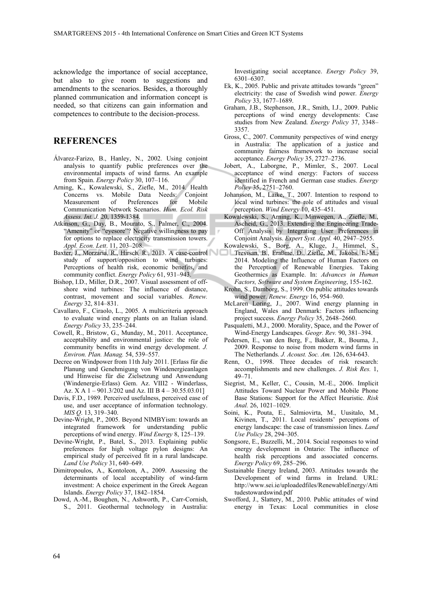acknowledge the importance of social acceptance, but also to give room to suggestions and amendments to the scenarios. Besides, a thoroughly planned communication and information concept is needed, so that citizens can gain information and competences to contribute to the decision-process.

### **REFERENCES**

- Álvarez-Farizo, B., Hanley, N., 2002. Using conjoint analysis to quantify public preferences over the environmental impacts of wind farms. An example from Spain. *Energy Policy* 30, 107–116.
- Arning, K., Kowalewski, S., Ziefle, M., 2014. Health Concerns vs. Mobile Data Needs: Conjoint Measurement of Preferences for Mobile Communication Network Scenarios. *Hum. Ecol. Risk Assess. Int. J.* 20, 1359-1384.
- Atkinson, G., Day, B., Mourato, S., Palmer, C., 2004. "Amenity" or "eyesore"? Negative willingness to pay for options to replace electricity transmission towers. *Appl. Econ. Lett*. 11, 203–208.
- Baxter, J., Morzaria, R., Hirsch, R., 2013. A case-control study of support/opposition to wind turbines: Perceptions of health risk, economic benefits, and community conflict. *Energy Policy* 61, 931–943.
- Bishop, I.D., Miller, D.R., 2007. Visual assessment of offshore wind turbines: The influence of distance, contrast, movement and social variables. *Renew. Energy* 32, 814–831.
- Cavallaro, F., Ciraolo, L., 2005. A multicriteria approach to evaluate wind energy plants on an Italian island. *Energy Policy* 33, 235–244.
- Cowell, R., Bristow, G., Munday, M., 2011. Acceptance, acceptability and environmental justice: the role of community benefits in wind energy development. *J. Environ. Plan. Manag.* 54, 539–557.
- Decree on Windpower from 11th July 2011. [Erlass für die Planung und Genehmigung von Windenergieanlagen und Hinweise für die Zielsetzung und Anwendung (Windenergie-Erlass) Gem. Az. VIII2 - Winderlass, Az. X A  $1 - 901.3/202$  und Az. III B  $4 - 30.55.03.01$ ]
- Davis, F.D., 1989. Perceived usefulness, perceived ease of use, and user acceptance of information technology. *MIS Q*. 13, 319–340.
- Devine-Wright, P., 2005. Beyond NIMBYism: towards an integrated framework for understanding public perceptions of wind energy. *Wind Energy* 8, 125–139.
- Devine-Wright, P., Batel, S., 2013. Explaining public preferences for high voltage pylon designs: An empirical study of perceived fit in a rural landscape. *Land Use Policy* 31, 640–649.
- Dimitropoulos, A., Kontoleon, A., 2009. Assessing the determinants of local acceptability of wind-farm investment: A choice experiment in the Greek Aegean Islands. *Energy Policy* 37, 1842–1854.
- Dowd, A.-M., Boughen, N., Ashworth, P., Carr-Cornish, S., 2011. Geothermal technology in Australia:

Investigating social acceptance. *Energy Policy* 39, 6301–6307.

- Ek, K., 2005. Public and private attitudes towards "green" electricity: the case of Swedish wind power. *Energy Policy* 33, 1677–1689.
- Graham, J.B., Stephenson, J.R., Smith, I.J., 2009. Public perceptions of wind energy developments: Case studies from New Zealand. *Energy Policy* 37, 3348– 3357.
- Gross, C., 2007. Community perspectives of wind energy in Australia: The application of a justice and community fairness framework to increase social acceptance. *Energy Policy* 35, 2727–2736.
- Jobert, A., Laborgne, P., Mimler, S., 2007. Local acceptance of wind energy: Factors of success identified in French and German case studies. *Energy Policy* 35, 2751–2760.
- Johansson, M., Laike, T., 2007. Intention to respond to local wind turbines: the role of attitudes and visual perception. *Wind Energy* 10, 435–451.
- Kowalewski, S., Arning, K., Minwegen, A., Ziefle, M., Ascheid, G., 2013. Extending the Engineering Trade-Off Analysis by Integrating User Preferences in Conjoint Analysis. *Expert Syst. Appl.* 40, 2947–2955.
- Kowalewski, S., Borg, A., Kluge, J., Himmel, S., Trevisan, B., Eraßme, D., Ziefle, M., Jakobs, E.-M., 2014. Modeling the Influence of Human Factors on the Perception of Renewable Energies. Taking Geothermics as Example. In: *Advances in Human Factors, Software and System Engineering*, 155-162.
- Krohn, S., Damborg, S., 1999. On public attitudes towards wind power. *Renew. Energy* 16, 954–960.
- McLaren Loring, J., 2007. Wind energy planning in England, Wales and Denmark: Factors influencing project success. *Energy Policy* 35, 2648–2660.
- Pasqualetti, M.J., 2000. Morality, Space, and the Power of Wind-Energy Landscapes. *Geogr. Rev.* 90, 381–394.
- Pedersen, E., van den Berg, F., Bakker, R., Bouma, J., 2009. Response to noise from modern wind farms in The Netherlands. *J. Acoust. Soc. Am.* 126, 634-643.
- Renn, O., 1998. Three decades of risk research: accomplishments and new challenges. *J. Risk Res.* 1, 49–71.
- Siegrist, M., Keller, C., Cousin, M.-E., 2006. Implicit Attitudes Toward Nuclear Power and Mobile Phone Base Stations: Support for the Affect Heuristic. *Risk Anal.* 26, 1021–1029.
- Soini, K., Pouta, E., Salmiovirta, M., Uusitalo, M., Kivinen, T., 2011. Local residents' perceptions of energy landscape: the case of transmission lines. *Land Use Policy* 28, 294–305.
- Songsore, E., Buzzelli, M., 2014. Social responses to wind energy development in Ontario: The influence of health risk perceptions and associated concerns. *Energy Policy* 69, 285–296.
- Sustainable Energy Ireland, 2003. Attitudes towards the Development of wind farms in Ireland. URL: http://www.sei.ie/uploadedfiles/RenewableEnergy/Atti tudestowardswind.pdf
- Swofford, J., Slattery, M., 2010. Public attitudes of wind energy in Texas: Local communities in close